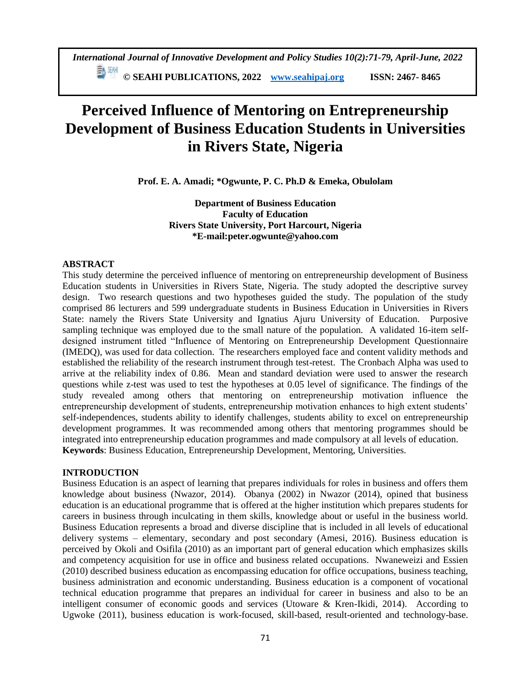# **Perceived Influence of Mentoring on Entrepreneurship Development of Business Education Students in Universities in Rivers State, Nigeria**

**Prof. E. A. Amadi; \*Ogwunte, P. C. Ph.D & Emeka, Obulolam** 

**Department of Business Education Faculty of Education Rivers State University, Port Harcourt, Nigeria \*E-mail:peter.ogwunte@yahoo.com**

# **ABSTRACT**

This study determine the perceived influence of mentoring on entrepreneurship development of Business Education students in Universities in Rivers State, Nigeria. The study adopted the descriptive survey design. Two research questions and two hypotheses guided the study. The population of the study comprised 86 lecturers and 599 undergraduate students in Business Education in Universities in Rivers State: namely the Rivers State University and Ignatius Ajuru University of Education. Purposive sampling technique was employed due to the small nature of the population. A validated 16-item selfdesigned instrument titled "Influence of Mentoring on Entrepreneurship Development Questionnaire (IMEDQ), was used for data collection. The researchers employed face and content validity methods and established the reliability of the research instrument through test-retest. The Cronbach Alpha was used to arrive at the reliability index of 0.86. Mean and standard deviation were used to answer the research questions while z-test was used to test the hypotheses at 0.05 level of significance. The findings of the study revealed among others that mentoring on entrepreneurship motivation influence the entrepreneurship development of students, entrepreneurship motivation enhances to high extent students' self-independences, students ability to identify challenges, students ability to excel on entrepreneurship development programmes. It was recommended among others that mentoring programmes should be integrated into entrepreneurship education programmes and made compulsory at all levels of education. **Keywords**: Business Education, Entrepreneurship Development, Mentoring, Universities.

# **INTRODUCTION**

Business Education is an aspect of learning that prepares individuals for roles in business and offers them knowledge about business (Nwazor, 2014). Obanya (2002) in Nwazor (2014), opined that business education is an educational programme that is offered at the higher institution which prepares students for careers in business through inculcating in them skills, knowledge about or useful in the business world. Business Education represents a broad and diverse discipline that is included in all levels of educational delivery systems – elementary, secondary and post secondary (Amesi, 2016). Business education is perceived by Okoli and Osifila (2010) as an important part of general education which emphasizes skills and competency acquisition for use in office and business related occupations. Nwaneweizi and Essien (2010) described business education as encompassing education for office occupations, business teaching, business administration and economic understanding. Business education is a component of vocational technical education programme that prepares an individual for career in business and also to be an intelligent consumer of economic goods and services (Utoware & Kren-Ikidi, 2014). According to Ugwoke (2011), business education is work-focused, skill-based, result-oriented and technology-base.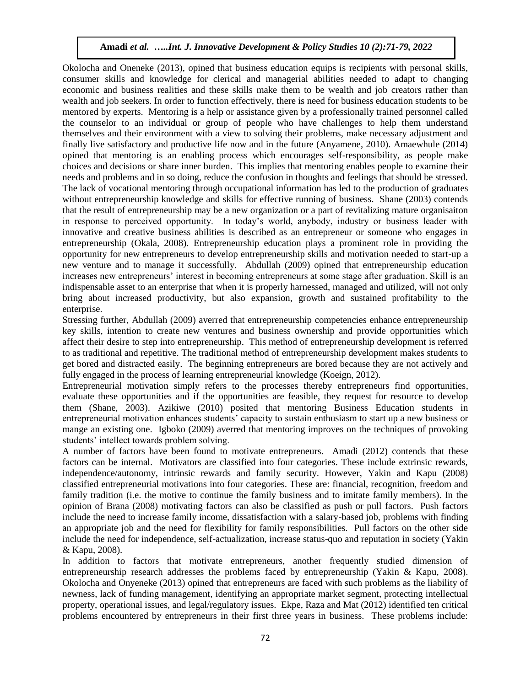Okolocha and Oneneke (2013), opined that business education equips is recipients with personal skills, consumer skills and knowledge for clerical and managerial abilities needed to adapt to changing economic and business realities and these skills make them to be wealth and job creators rather than wealth and job seekers. In order to function effectively, there is need for business education students to be mentored by experts. Mentoring is a help or assistance given by a professionally trained personnel called the counselor to an individual or group of people who have challenges to help them understand themselves and their environment with a view to solving their problems, make necessary adjustment and finally live satisfactory and productive life now and in the future (Anyamene, 2010). Amaewhule (2014) opined that mentoring is an enabling process which encourages self-responsibility, as people make choices and decisions or share inner burden. This implies that mentoring enables people to examine their needs and problems and in so doing, reduce the confusion in thoughts and feelings that should be stressed. The lack of vocational mentoring through occupational information has led to the production of graduates without entrepreneurship knowledge and skills for effective running of business. Shane (2003) contends that the result of entrepreneurship may be a new organization or a part of revitalizing mature organisaiton in response to perceived opportunity. In today's world, anybody, industry or business leader with innovative and creative business abilities is described as an entrepreneur or someone who engages in entrepreneurship (Okala, 2008). Entrepreneurship education plays a prominent role in providing the opportunity for new entrepreneurs to develop entrepreneurship skills and motivation needed to start-up a new venture and to manage it successfully. Abdullah (2009) opined that entrepreneurship education increases new entrepreneurs' interest in becoming entrepreneurs at some stage after graduation. Skill is an indispensable asset to an enterprise that when it is properly harnessed, managed and utilized, will not only bring about increased productivity, but also expansion, growth and sustained profitability to the enterprise.

Stressing further, Abdullah (2009) averred that entrepreneurship competencies enhance entrepreneurship key skills, intention to create new ventures and business ownership and provide opportunities which affect their desire to step into entrepreneurship. This method of entrepreneurship development is referred to as traditional and repetitive. The traditional method of entrepreneurship development makes students to get bored and distracted easily. The beginning entrepreneurs are bored because they are not actively and fully engaged in the process of learning entrepreneurial knowledge (Koeign, 2012).

Entrepreneurial motivation simply refers to the processes thereby entrepreneurs find opportunities, evaluate these opportunities and if the opportunities are feasible, they request for resource to develop them (Shane, 2003). Azikiwe (2010) posited that mentoring Business Education students in entrepreneurial motivation enhances students' capacity to sustain enthusiasm to start up a new business or mange an existing one. Igboko (2009) averred that mentoring improves on the techniques of provoking students' intellect towards problem solving.

A number of factors have been found to motivate entrepreneurs. Amadi (2012) contends that these factors can be internal. Motivators are classified into four categories. These include extrinsic rewards, independence/autonomy, intrinsic rewards and family security. However, Yakin and Kapu (2008) classified entrepreneurial motivations into four categories. These are: financial, recognition, freedom and family tradition (i.e. the motive to continue the family business and to imitate family members). In the opinion of Brana (2008) motivating factors can also be classified as push or pull factors. Push factors include the need to increase family income, dissatisfaction with a salary-based job, problems with finding an appropriate job and the need for flexibility for family responsibilities. Pull factors on the other side include the need for independence, self-actualization, increase status-quo and reputation in society (Yakin & Kapu, 2008).

In addition to factors that motivate entrepreneurs, another frequently studied dimension of entrepreneurship research addresses the problems faced by entrepreneurship (Yakin & Kapu, 2008). Okolocha and Onyeneke (2013) opined that entrepreneurs are faced with such problems as the liability of newness, lack of funding management, identifying an appropriate market segment, protecting intellectual property, operational issues, and legal/regulatory issues. Ekpe, Raza and Mat (2012) identified ten critical problems encountered by entrepreneurs in their first three years in business. These problems include: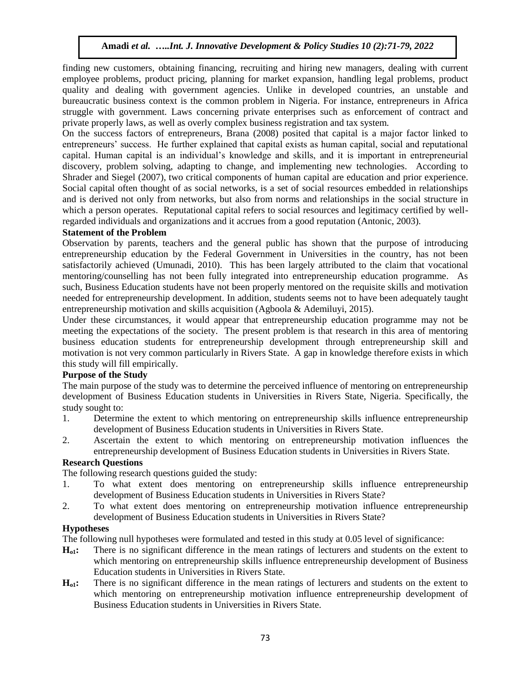finding new customers, obtaining financing, recruiting and hiring new managers, dealing with current employee problems, product pricing, planning for market expansion, handling legal problems, product quality and dealing with government agencies. Unlike in developed countries, an unstable and bureaucratic business context is the common problem in Nigeria. For instance, entrepreneurs in Africa struggle with government. Laws concerning private enterprises such as enforcement of contract and private properly laws, as well as overly complex business registration and tax system.

On the success factors of entrepreneurs, Brana (2008) posited that capital is a major factor linked to entrepreneurs' success. He further explained that capital exists as human capital, social and reputational capital. Human capital is an individual's knowledge and skills, and it is important in entrepreneurial discovery, problem solving, adapting to change, and implementing new technologies. According to Shrader and Siegel (2007), two critical components of human capital are education and prior experience. Social capital often thought of as social networks, is a set of social resources embedded in relationships and is derived not only from networks, but also from norms and relationships in the social structure in which a person operates. Reputational capital refers to social resources and legitimacy certified by wellregarded individuals and organizations and it accrues from a good reputation (Antonic, 2003).

## **Statement of the Problem**

Observation by parents, teachers and the general public has shown that the purpose of introducing entrepreneurship education by the Federal Government in Universities in the country, has not been satisfactorily achieved (Umunadi, 2010). This has been largely attributed to the claim that vocational mentoring/counselling has not been fully integrated into entrepreneurship education programme. As such, Business Education students have not been properly mentored on the requisite skills and motivation needed for entrepreneurship development. In addition, students seems not to have been adequately taught entrepreneurship motivation and skills acquisition (Agboola & Ademiluyi, 2015).

Under these circumstances, it would appear that entrepreneurship education programme may not be meeting the expectations of the society. The present problem is that research in this area of mentoring business education students for entrepreneurship development through entrepreneurship skill and motivation is not very common particularly in Rivers State. A gap in knowledge therefore exists in which this study will fill empirically.

## **Purpose of the Study**

The main purpose of the study was to determine the perceived influence of mentoring on entrepreneurship development of Business Education students in Universities in Rivers State, Nigeria. Specifically, the study sought to:

- 1. Determine the extent to which mentoring on entrepreneurship skills influence entrepreneurship development of Business Education students in Universities in Rivers State.
- 2. Ascertain the extent to which mentoring on entrepreneurship motivation influences the entrepreneurship development of Business Education students in Universities in Rivers State.

## **Research Questions**

The following research questions guided the study:

- 1. To what extent does mentoring on entrepreneurship skills influence entrepreneurship development of Business Education students in Universities in Rivers State?
- 2. To what extent does mentoring on entrepreneurship motivation influence entrepreneurship development of Business Education students in Universities in Rivers State?

## **Hypotheses**

The following null hypotheses were formulated and tested in this study at 0.05 level of significance:

- **Ho1:** There is no significant difference in the mean ratings of lecturers and students on the extent to which mentoring on entrepreneurship skills influence entrepreneurship development of Business Education students in Universities in Rivers State.
- **Ho1:** There is no significant difference in the mean ratings of lecturers and students on the extent to which mentoring on entrepreneurship motivation influence entrepreneurship development of Business Education students in Universities in Rivers State.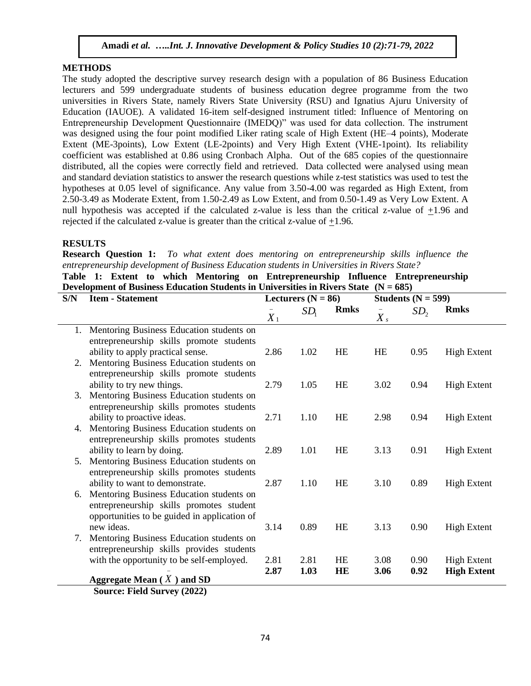### **METHODS**

The study adopted the descriptive survey research design with a population of 86 Business Education lecturers and 599 undergraduate students of business education degree programme from the two universities in Rivers State, namely Rivers State University (RSU) and Ignatius Ajuru University of Education (IAUOE). A validated 16-item self-designed instrument titled: Influence of Mentoring on Entrepreneurship Development Questionnaire (IMEDQ)" was used for data collection. The instrument was designed using the four point modified Liker rating scale of High Extent (HE–4 points), Moderate Extent (ME-3points), Low Extent (LE-2points) and Very High Extent (VHE-1point). Its reliability coefficient was established at 0.86 using Cronbach Alpha. Out of the 685 copies of the questionnaire distributed, all the copies were correctly field and retrieved. Data collected were analysed using mean and standard deviation statistics to answer the research questions while z-test statistics was used to test the hypotheses at 0.05 level of significance. Any value from 3.50-4.00 was regarded as High Extent, from 2.50-3.49 as Moderate Extent, from 1.50-2.49 as Low Extent, and from 0.50-1.49 as Very Low Extent. A null hypothesis was accepted if the calculated z-value is less than the critical z-value of +1.96 and rejected if the calculated z-value is greater than the critical z-value of +1.96.

#### **RESULTS**

**Research Question 1:** *To what extent does mentoring on entrepreneurship skills influence the entrepreneurship development of Business Education students in Universities in Rivers State?*

**Table 1: Extent to which Mentoring on Entrepreneurship Influence Entrepreneurship Development of Business Education Students in Universities in Rivers State (N = 685)**

| S/N | <b>Item - Statement</b>                      |       | Lecturers ( $N = 86$ ) |             |                  | Students ( $N = 599$ ) |                    |  |
|-----|----------------------------------------------|-------|------------------------|-------------|------------------|------------------------|--------------------|--|
|     |                                              | $X_1$ | SD <sub>1</sub>        | <b>Rmks</b> | $\overline{X}_s$ | SD <sub>2</sub>        | <b>Rmks</b>        |  |
| 1.  | Mentoring Business Education students on     |       |                        |             |                  |                        |                    |  |
|     | entrepreneurship skills promote students     |       |                        |             |                  |                        |                    |  |
|     | ability to apply practical sense.            | 2.86  | 1.02                   | <b>HE</b>   | <b>HE</b>        | 0.95                   | <b>High Extent</b> |  |
| 2.  | Mentoring Business Education students on     |       |                        |             |                  |                        |                    |  |
|     | entrepreneurship skills promote students     |       |                        |             |                  |                        |                    |  |
|     | ability to try new things.                   | 2.79  | 1.05                   | HE          | 3.02             | 0.94                   | <b>High Extent</b> |  |
| 3.  | Mentoring Business Education students on     |       |                        |             |                  |                        |                    |  |
|     | entrepreneurship skills promotes students    |       |                        |             |                  |                        |                    |  |
|     | ability to proactive ideas.                  | 2.71  | 1.10                   | HE          | 2.98             | 0.94                   | <b>High Extent</b> |  |
| 4.  | Mentoring Business Education students on     |       |                        |             |                  |                        |                    |  |
|     | entrepreneurship skills promotes students    |       |                        |             |                  |                        |                    |  |
|     | ability to learn by doing.                   | 2.89  | 1.01                   | HE          | 3.13             | 0.91                   | <b>High Extent</b> |  |
| 5.  | Mentoring Business Education students on     |       |                        |             |                  |                        |                    |  |
|     | entrepreneurship skills promotes students    |       |                        |             |                  |                        |                    |  |
|     | ability to want to demonstrate.              | 2.87  | 1.10                   | <b>HE</b>   | 3.10             | 0.89                   | <b>High Extent</b> |  |
| 6.  | Mentoring Business Education students on     |       |                        |             |                  |                        |                    |  |
|     | entrepreneurship skills promotes student     |       |                        |             |                  |                        |                    |  |
|     | opportunities to be guided in application of |       |                        |             |                  |                        |                    |  |
|     | new ideas.                                   | 3.14  | 0.89                   | HE          | 3.13             | 0.90                   | <b>High Extent</b> |  |
| 7.  | Mentoring Business Education students on     |       |                        |             |                  |                        |                    |  |
|     | entrepreneurship skills provides students    |       |                        |             |                  |                        |                    |  |
|     | with the opportunity to be self-employed.    | 2.81  | 2.81                   | HE          | 3.08             | 0.90                   | <b>High Extent</b> |  |
|     |                                              | 2.87  | 1.03                   | HE          | 3.06             | 0.92                   | <b>High Extent</b> |  |
|     | Aggregate Mean $(X)$ and SD                  |       |                        |             |                  |                        |                    |  |
|     | Source: Field Survey (2022)                  |       |                        |             |                  |                        |                    |  |

**Source: Field Survey (2022)**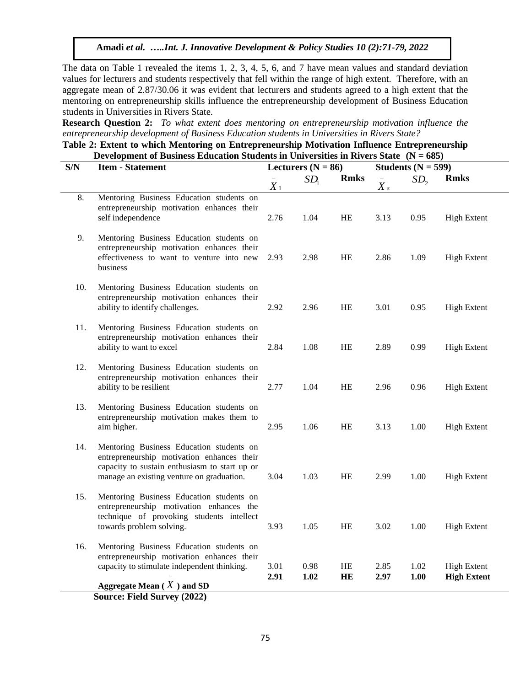The data on Table 1 revealed the items 1, 2, 3, 4, 5, 6, and 7 have mean values and standard deviation values for lecturers and students respectively that fell within the range of high extent. Therefore, with an aggregate mean of 2.87/30.06 it was evident that lecturers and students agreed to a high extent that the mentoring on entrepreneurship skills influence the entrepreneurship development of Business Education students in Universities in Rivers State.

**Research Question 2:** *To what extent does mentoring on entrepreneurship motivation influence the entrepreneurship development of Business Education students in Universities in Rivers State?*

**Table 2: Extent to which Mentoring on Entrepreneurship Motivation Influence Entrepreneurship Development of Business Education Students in Universities in Rivers State (N = 685)**

| S/N | <b>Item - Statement</b><br>Lecturers ( $N = 86$ )                                                                                                                                    |              |                 |                 |              | Students ( $N = 599$ ) |                                          |
|-----|--------------------------------------------------------------------------------------------------------------------------------------------------------------------------------------|--------------|-----------------|-----------------|--------------|------------------------|------------------------------------------|
|     |                                                                                                                                                                                      | $X_1$        | SD <sub>1</sub> | <b>Rmks</b>     | $X_{s}$      | SD <sub>2</sub>        | <b>Rmks</b>                              |
| 8.  | Mentoring Business Education students on<br>entrepreneurship motivation enhances their<br>self independence                                                                          | 2.76         | 1.04            | HE              | 3.13         | 0.95                   | <b>High Extent</b>                       |
| 9.  | Mentoring Business Education students on<br>entrepreneurship motivation enhances their<br>effectiveness to want to venture into new<br>business                                      | 2.93         | 2.98            | HE              | 2.86         | 1.09                   | <b>High Extent</b>                       |
| 10. | Mentoring Business Education students on<br>entrepreneurship motivation enhances their<br>ability to identify challenges.                                                            | 2.92         | 2.96            | HE              | 3.01         | 0.95                   | <b>High Extent</b>                       |
| 11. | Mentoring Business Education students on<br>entrepreneurship motivation enhances their<br>ability to want to excel                                                                   | 2.84         | 1.08            | HE              | 2.89         | 0.99                   | <b>High Extent</b>                       |
| 12. | Mentoring Business Education students on<br>entrepreneurship motivation enhances their<br>ability to be resilient                                                                    | 2.77         | 1.04            | HE              | 2.96         | 0.96                   | <b>High Extent</b>                       |
| 13. | Mentoring Business Education students on<br>entrepreneurship motivation makes them to<br>aim higher.                                                                                 | 2.95         | 1.06            | HE              | 3.13         | 1.00                   | <b>High Extent</b>                       |
| 14. | Mentoring Business Education students on<br>entrepreneurship motivation enhances their<br>capacity to sustain enthusiasm to start up or<br>manage an existing venture on graduation. | 3.04         | 1.03            | HE              | 2.99         | 1.00                   | <b>High Extent</b>                       |
| 15. | Mentoring Business Education students on<br>entrepreneurship motivation enhances the<br>technique of provoking students intellect<br>towards problem solving.                        | 3.93         | 1.05            | HE              | 3.02         | 1.00                   | <b>High Extent</b>                       |
| 16. | Mentoring Business Education students on<br>entrepreneurship motivation enhances their<br>capacity to stimulate independent thinking.                                                | 3.01<br>2.91 | 0.98<br>1.02    | HE<br><b>HE</b> | 2.85<br>2.97 | 1.02<br>1.00           | <b>High Extent</b><br><b>High Extent</b> |
|     | Aggregate Mean $(X)$ and SD<br><b>Source: Field Survey (2022)</b>                                                                                                                    |              |                 |                 |              |                        |                                          |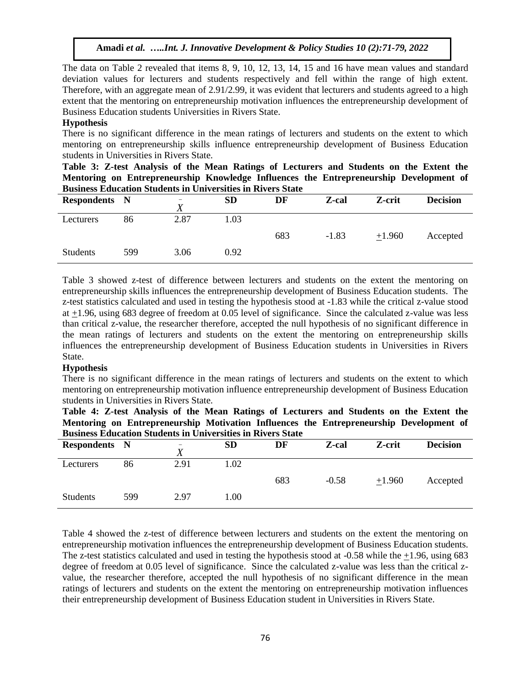The data on Table 2 revealed that items 8, 9, 10, 12, 13, 14, 15 and 16 have mean values and standard deviation values for lecturers and students respectively and fell within the range of high extent. Therefore, with an aggregate mean of 2.91/2.99, it was evident that lecturers and students agreed to a high extent that the mentoring on entrepreneurship motivation influences the entrepreneurship development of Business Education students Universities in Rivers State.

## **Hypothesis**

There is no significant difference in the mean ratings of lecturers and students on the extent to which mentoring on entrepreneurship skills influence entrepreneurship development of Business Education students in Universities in Rivers State.

|  | Table 3: Z-test Analysis of the Mean Ratings of Lecturers and Students on the Extent the |  |  |  |  |  |  |
|--|------------------------------------------------------------------------------------------|--|--|--|--|--|--|
|  | Mentoring on Entrepreneurship Knowledge Influences the Entrepreneurship Development of   |  |  |  |  |  |  |
|  | <b>Business Education Students in Universities in Rivers State</b>                       |  |  |  |  |  |  |

| <b>Respondents</b> N |     | $\qquad \qquad =$ | <b>SD</b> | DF  | Z-cal   | Z-crit   | <b>Decision</b> |
|----------------------|-----|-------------------|-----------|-----|---------|----------|-----------------|
| Lecturers            | 86  | 2.87              | l.03      |     |         |          |                 |
|                      |     |                   |           | 683 | $-1.83$ | $+1.960$ | Accepted        |
| <b>Students</b>      | 599 | 3.06              | 0.92      |     |         |          |                 |

Table 3 showed z-test of difference between lecturers and students on the extent the mentoring on entrepreneurship skills influences the entrepreneurship development of Business Education students. The z-test statistics calculated and used in testing the hypothesis stood at -1.83 while the critical z-value stood at +1.96, using 683 degree of freedom at 0.05 level of significance. Since the calculated z-value was less than critical z-value, the researcher therefore, accepted the null hypothesis of no significant difference in the mean ratings of lecturers and students on the extent the mentoring on entrepreneurship skills influences the entrepreneurship development of Business Education students in Universities in Rivers State.

#### **Hypothesis**

There is no significant difference in the mean ratings of lecturers and students on the extent to which mentoring on entrepreneurship motivation influence entrepreneurship development of Business Education students in Universities in Rivers State.

|  | Table 4: Z-test Analysis of the Mean Ratings of Lecturers and Students on the Extent the |  |  |  |  |  |  |
|--|------------------------------------------------------------------------------------------|--|--|--|--|--|--|
|  | Mentoring on Entrepreneurship Motivation Influences the Entrepreneurship Development of  |  |  |  |  |  |  |
|  | <b>Business Education Students in Universities in Rivers State</b>                       |  |  |  |  |  |  |

| Dubinebb Liguedinon Deugeneb in Chifferbierb in Igfter Deuet |     |                          |           |     |         |          |                 |  |  |  |  |
|--------------------------------------------------------------|-----|--------------------------|-----------|-----|---------|----------|-----------------|--|--|--|--|
| <b>Respondents</b> N                                         |     | $\overline{\phantom{0}}$ | <b>SD</b> | DF  | Z-cal   | Z-crit   | <b>Decision</b> |  |  |  |  |
| Lecturers                                                    | 86  | 2.91                     | 1.02      |     |         |          |                 |  |  |  |  |
|                                                              |     |                          |           | 683 | $-0.58$ | $+1.960$ | Accepted        |  |  |  |  |
| <b>Students</b>                                              | 599 | 2.97                     | 1.00      |     |         |          |                 |  |  |  |  |

Table 4 showed the z-test of difference between lecturers and students on the extent the mentoring on entrepreneurship motivation influences the entrepreneurship development of Business Education students. The z-test statistics calculated and used in testing the hypothesis stood at -0.58 while the +1.96, using 683 degree of freedom at 0.05 level of significance. Since the calculated z-value was less than the critical zvalue, the researcher therefore, accepted the null hypothesis of no significant difference in the mean ratings of lecturers and students on the extent the mentoring on entrepreneurship motivation influences their entrepreneurship development of Business Education student in Universities in Rivers State.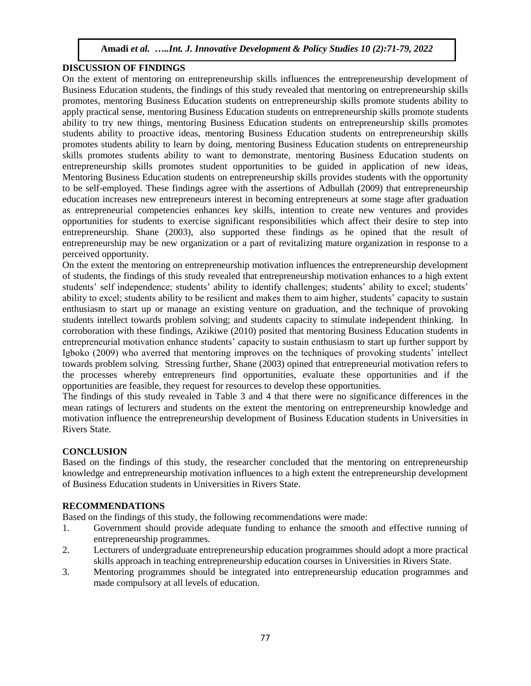## **DISCUSSION OF FINDINGS**

On the extent of mentoring on entrepreneurship skills influences the entrepreneurship development of Business Education students, the findings of this study revealed that mentoring on entrepreneurship skills promotes, mentoring Business Education students on entrepreneurship skills promote students ability to apply practical sense, mentoring Business Education students on entrepreneurship skills promote students ability to try new things, mentoring Business Education students on entrepreneurship skills promotes students ability to proactive ideas, mentoring Business Education students on entrepreneurship skills promotes students ability to learn by doing, mentoring Business Education students on entrepreneurship skills promotes students ability to want to demonstrate, mentoring Business Education students on entrepreneurship skills promotes student opportunities to be guided in application of new ideas, Mentoring Business Education students on entrepreneurship skills provides students with the opportunity to be self-employed. These findings agree with the assertions of Adbullah (2009) that entrepreneurship education increases new entrepreneurs interest in becoming entrepreneurs at some stage after graduation as entrepreneurial competencies enhances key skills, intention to create new ventures and provides opportunities for students to exercise significant responsibilities which affect their desire to step into entrepreneurship. Shane (2003), also supported these findings as he opined that the result of entrepreneurship may be new organization or a part of revitalizing mature organization in response to a perceived opportunity.

On the extent the mentoring on entrepreneurship motivation influences the entrepreneurship development of students, the findings of this study revealed that entrepreneurship motivation enhances to a high extent students' self independence; students' ability to identify challenges; students' ability to excel; students' ability to excel; students ability to be resilient and makes them to aim higher, students' capacity to sustain enthusiasm to start up or manage an existing venture on graduation, and the technique of provoking students intellect towards problem solving; and students capacity to stimulate independent thinking. In corroboration with these findings, Azikiwe (2010) posited that mentoring Business Education students in entrepreneurial motivation enhance students' capacity to sustain enthusiasm to start up further support by Igboko (2009) who averred that mentoring improves on the techniques of provoking students' intellect towards problem solving. Stressing further, Shane (2003) opined that entrepreneurial motivation refers to the processes whereby entrepreneurs find opportunities, evaluate these opportunities and if the opportunities are feasible, they request for resources to develop these opportunities.

The findings of this study revealed in Table 3 and 4 that there were no significance differences in the mean ratings of lecturers and students on the extent the mentoring on entrepreneurship knowledge and motivation influence the entrepreneurship development of Business Education students in Universities in Rivers State.

## **CONCLUSION**

Based on the findings of this study, the researcher concluded that the mentoring on entrepreneurship knowledge and entrepreneurship motivation influences to a high extent the entrepreneurship development of Business Education students in Universities in Rivers State.

## **RECOMMENDATIONS**

Based on the findings of this study, the following recommendations were made:

- 1. Government should provide adequate funding to enhance the smooth and effective running of entrepreneurship programmes.
- 2. Lecturers of undergraduate entrepreneurship education programmes should adopt a more practical skills approach in teaching entrepreneurship education courses in Universities in Rivers State.
- 3. Mentoring programmes should be integrated into entrepreneurship education programmes and made compulsory at all levels of education.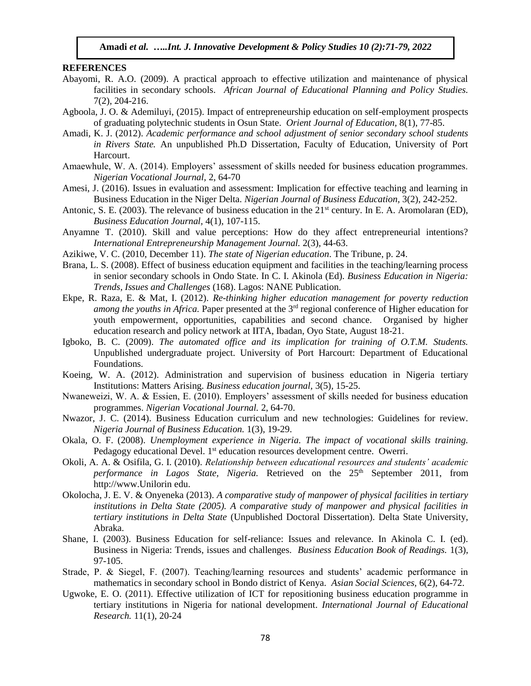#### **REFERENCES**

- Abayomi, R. A.O. (2009). A practical approach to effective utilization and maintenance of physical facilities in secondary schools. *African Journal of Educational Planning and Policy Studies.* 7(2), 204-216.
- Agboola, J. O. & Ademiluyi, (2015). Impact of entrepreneurship education on self-employment prospects of graduating polytechnic students in Osun State. *Orient Journal of Education,* 8(1), 77-85.
- Amadi, K. J. (2012). *Academic performance and school adjustment of senior secondary school students in Rivers State.* An unpublished Ph.D Dissertation, Faculty of Education, University of Port Harcourt.
- Amaewhule, W. A. (2014). Employers' assessment of skills needed for business education programmes. *Nigerian Vocational Journal,* 2, 64-70
- Amesi, J. (2016). Issues in evaluation and assessment: Implication for effective teaching and learning in Business Education in the Niger Delta. *Nigerian Journal of Business Education,* 3(2), 242-252.
- Antonic, S. E. (2003). The relevance of business education in the 21<sup>st</sup> century. In E. A. Aromolaran (ED), *Business Education Journal,* 4(1), 107-115.
- Anyamne T. (2010). Skill and value perceptions: How do they affect entrepreneurial intentions? *International Entrepreneurship Management Journal.* 2(3), 44-63.
- Azikiwe, V. C. (2010, December 11). *The state of Nigerian education*. The Tribune, p. 24.
- Brana, L. S. (2008). Effect of business education equipment and facilities in the teaching/learning process in senior secondary schools in Ondo State. In C. I. Akinola (Ed). *Business Education in Nigeria: Trends, Issues and Challenges* (168). Lagos: NANE Publication.
- Ekpe, R. Raza, E. & Mat, I. (2012). *Re-thinking higher education management for poverty reduction among the youths in Africa.* Paper presented at the 3<sup>rd</sup> regional conference of Higher education for youth empowerment, opportunities, capabilities and second chance. Organised by higher education research and policy network at IITA, Ibadan, Oyo State, August 18-21.
- Igboko, B. C. (2009). *The automated office and its implication for training of O.T.M. Students.* Unpublished undergraduate project. University of Port Harcourt: Department of Educational Foundations.
- Koeing, W. A. (2012). Administration and supervision of business education in Nigeria tertiary Institutions: Matters Arising. *Business education journal,* 3(5), 15-25.
- Nwaneweizi, W. A. & Essien, E. (2010). Employers' assessment of skills needed for business education programmes. *Nigerian Vocational Journal.* 2, 64-70.
- Nwazor, J. C. (2014). Business Education curriculum and new technologies: Guidelines for review. *Nigeria Journal of Business Education.* 1(3), 19-29.
- Okala, O. F. (2008). *Unemployment experience in Nigeria. The impact of vocational skills training.* Pedagogy educational Devel. 1<sup>st</sup> education resources development centre. Owerri.
- Okoli, A. A. & Osifila, G. I. (2010). *Relationship between educational resources and students' academic performance in Lagos State, Nigeria.* Retrieved on the 25th September 2011, from http://www.Unilorin edu.
- Okolocha, J. E. V. & Onyeneka (2013). *A comparative study of manpower of physical facilities in tertiary institutions in Delta State (2005). A comparative study of manpower and physical facilities in tertiary institutions in Delta State* (Unpublished Doctoral Dissertation). Delta State University, Abraka.
- Shane, I. (2003). Business Education for self-reliance: Issues and relevance. In Akinola C. I. (ed). Business in Nigeria: Trends, issues and challenges. *Business Education Book of Readings.* 1(3), 97-105.
- Strade, P. & Siegel, F. (2007). Teaching/learning resources and students' academic performance in mathematics in secondary school in Bondo district of Kenya. *Asian Social Sciences,* 6(2), 64-72.
- Ugwoke, E. O. (2011). Effective utilization of ICT for repositioning business education programme in tertiary institutions in Nigeria for national development. *International Journal of Educational Research.* 11(1), 20-24